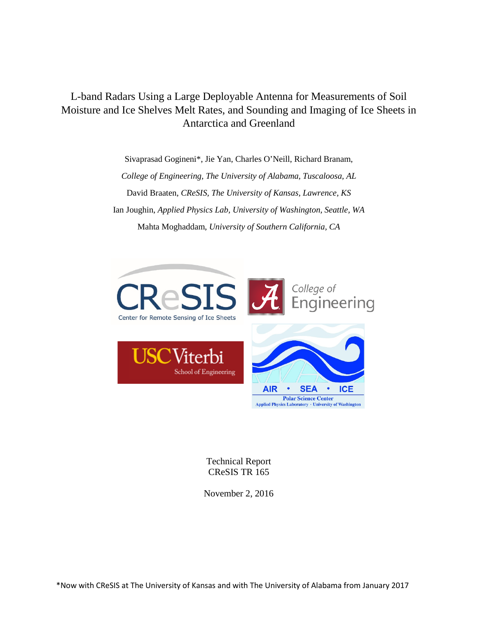# L-band Radars Using a Large Deployable Antenna for Measurements of Soil Moisture and Ice Shelves Melt Rates, and Sounding and Imaging of Ice Sheets in Antarctica and Greenland

Sivaprasad Gogineni\*, Jie Yan, Charles O'Neill, Richard Branam, *College of Engineering, The University of Alabama, Tuscaloosa, AL* David Braaten, *CReSIS, The University of Kansas, Lawrence, KS* Ian Joughin, *Applied Physics Lab, University of Washington, Seattle, WA* Mahta Moghaddam, *University of Southern California, CA*



Technical Report CReSIS TR 165

November 2, 2016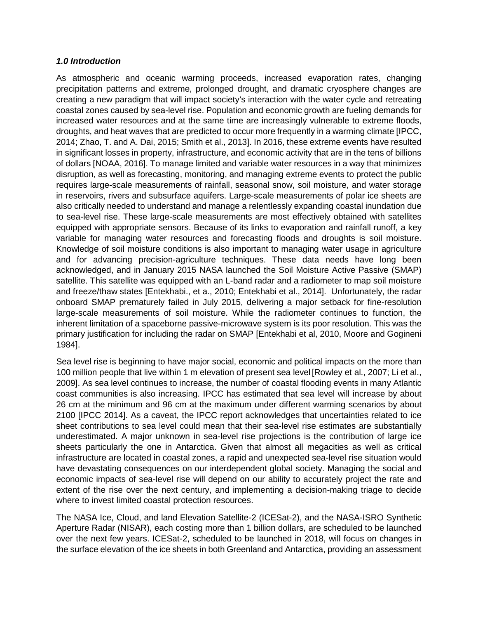## *1.0 Introduction*

As atmospheric and oceanic warming proceeds, increased evaporation rates, changing precipitation patterns and extreme, prolonged drought, and dramatic cryosphere changes are creating a new paradigm that will impact society's interaction with the water cycle and retreating coastal zones caused by sea-level rise. Population and economic growth are fueling demands for increased water resources and at the same time are increasingly vulnerable to extreme floods, droughts, and heat waves that are predicted to occur more frequently in a warming climate [IPCC, 2014; Zhao, T. and A. Dai, 2015; Smith et al., 2013]. In 2016, these extreme events have resulted in significant losses in property, infrastructure, and economic activity that are in the tens of billions of dollars [NOAA, 2016]. To manage limited and variable water resources in a way that minimizes disruption, as well as forecasting, monitoring, and managing extreme events to protect the public requires large-scale measurements of rainfall, seasonal snow, soil moisture, and water storage in reservoirs, rivers and subsurface aquifers. Large-scale measurements of polar ice sheets are also critically needed to understand and manage a relentlessly expanding coastal inundation due to sea-level rise. These large-scale measurements are most effectively obtained with satellites equipped with appropriate sensors. Because of its links to evaporation and rainfall runoff, a key variable for managing water resources and forecasting floods and droughts is soil moisture. Knowledge of soil moisture conditions is also important to managing water usage in agriculture and for advancing precision-agriculture techniques. These data needs have long been acknowledged, and in January 2015 NASA launched the Soil Moisture Active Passive (SMAP) satellite. This satellite was equipped with an L-band radar and a radiometer to map soil moisture and freeze/thaw states [Entekhabi., et a., 2010; Entekhabi et al., 2014]. Unfortunately, the radar onboard SMAP prematurely failed in July 2015, delivering a major setback for fine-resolution large-scale measurements of soil moisture. While the radiometer continues to function, the inherent limitation of a spaceborne passive-microwave system is its poor resolution. This was the primary justification for including the radar on SMAP [Entekhabi et al, 2010, Moore and Gogineni 1984].

Sea level rise is beginning to have major social, economic and political impacts on the more than 100 million people that live within 1 m elevation of present sea level [Rowley et al., 2007; Li et al., 2009]. As sea level continues to increase, the number of coastal flooding events in many Atlantic coast communities is also increasing. IPCC has estimated that sea level will increase by about 26 cm at the minimum and 96 cm at the maximum under different warming scenarios by about 2100 [IPCC 2014]. As a caveat, the IPCC report acknowledges that uncertainties related to ice sheet contributions to sea level could mean that their sea-level rise estimates are substantially underestimated. A major unknown in sea-level rise projections is the contribution of large ice sheets particularly the one in Antarctica. Given that almost all megacities as well as critical infrastructure are located in coastal zones, a rapid and unexpected sea-level rise situation would have devastating consequences on our interdependent global society. Managing the social and economic impacts of sea-level rise will depend on our ability to accurately project the rate and extent of the rise over the next century, and implementing a decision-making triage to decide where to invest limited coastal protection resources.

The NASA Ice, Cloud, and land Elevation Satellite-2 (ICESat-2), and the NASA-ISRO Synthetic Aperture Radar (NISAR), each costing more than 1 billion dollars, are scheduled to be launched over the next few years. ICESat-2, scheduled to be launched in 2018, will focus on changes in the surface elevation of the ice sheets in both Greenland and Antarctica, providing an assessment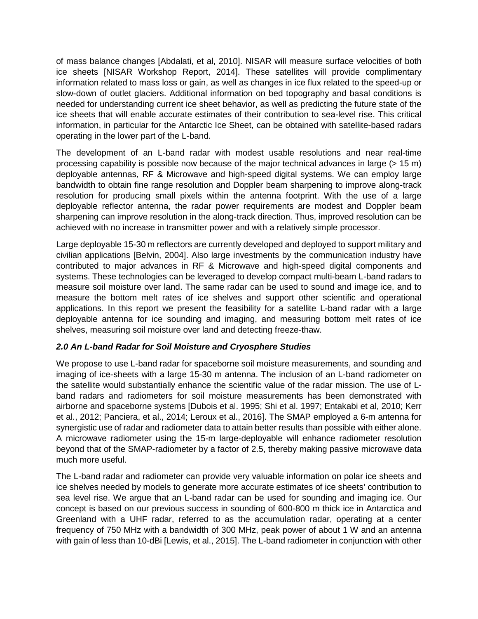of mass balance changes [Abdalati, et al, 2010]. NISAR will measure surface velocities of both ice sheets [NISAR Workshop Report, 2014]. These satellites will provide complimentary information related to mass loss or gain, as well as changes in ice flux related to the speed-up or slow-down of outlet glaciers. Additional information on bed topography and basal conditions is needed for understanding current ice sheet behavior, as well as predicting the future state of the ice sheets that will enable accurate estimates of their contribution to sea-level rise. This critical information, in particular for the Antarctic Ice Sheet, can be obtained with satellite-based radars operating in the lower part of the L-band.

The development of an L-band radar with modest usable resolutions and near real-time processing capability is possible now because of the major technical advances in large (> 15 m) deployable antennas, RF & Microwave and high-speed digital systems. We can employ large bandwidth to obtain fine range resolution and Doppler beam sharpening to improve along-track resolution for producing small pixels within the antenna footprint. With the use of a large deployable reflector antenna, the radar power requirements are modest and Doppler beam sharpening can improve resolution in the along-track direction. Thus, improved resolution can be achieved with no increase in transmitter power and with a relatively simple processor.

Large deployable 15-30 m reflectors are currently developed and deployed to support military and civilian applications [Belvin, 2004]. Also large investments by the communication industry have contributed to major advances in RF & Microwave and high-speed digital components and systems. These technologies can be leveraged to develop compact multi-beam L-band radars to measure soil moisture over land. The same radar can be used to sound and image ice, and to measure the bottom melt rates of ice shelves and support other scientific and operational applications. In this report we present the feasibility for a satellite L-band radar with a large deployable antenna for ice sounding and imaging, and measuring bottom melt rates of ice shelves, measuring soil moisture over land and detecting freeze-thaw.

# *2.0 An L-band Radar for Soil Moisture and Cryosphere Studies*

We propose to use L-band radar for spaceborne soil moisture measurements, and sounding and imaging of ice-sheets with a large 15-30 m antenna. The inclusion of an L-band radiometer on the satellite would substantially enhance the scientific value of the radar mission. The use of Lband radars and radiometers for soil moisture measurements has been demonstrated with airborne and spaceborne systems [Dubois et al. 1995; Shi et al. 1997; Entakabi et al, 2010; Kerr et al., 2012; Panciera, et al., 2014; Leroux et al., 2016]. The SMAP employed a 6-m antenna for synergistic use of radar and radiometer data to attain better results than possible with either alone. A microwave radiometer using the 15-m large-deployable will enhance radiometer resolution beyond that of the SMAP-radiometer by a factor of 2.5, thereby making passive microwave data much more useful.

The L-band radar and radiometer can provide very valuable information on polar ice sheets and ice shelves needed by models to generate more accurate estimates of ice sheets' contribution to sea level rise. We argue that an L-band radar can be used for sounding and imaging ice. Our concept is based on our previous success in sounding of 600-800 m thick ice in Antarctica and Greenland with a UHF radar, referred to as the accumulation radar, operating at a center frequency of 750 MHz with a bandwidth of 300 MHz, peak power of about 1 W and an antenna with gain of less than 10-dBi [Lewis, et al., 2015]. The L-band radiometer in conjunction with other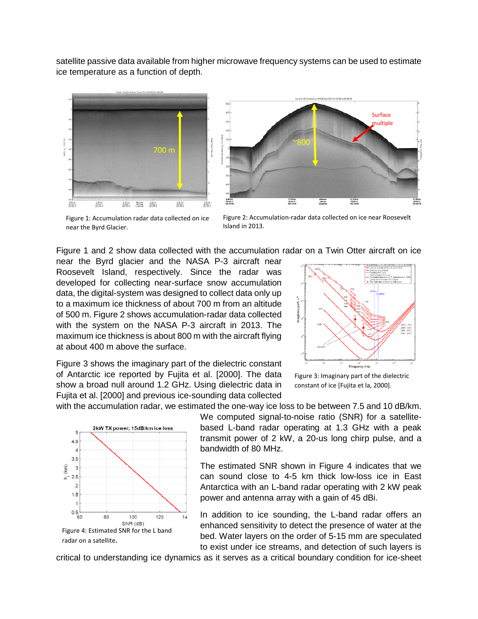satellite passive data available from higher microwave frequency systems can be used to estimate ice temperature as a function of depth.





Figure 1: Accumulation radar data collected on ice near the Byrd Glacier.

Figure 2: Accumulation-radar data collected on ice near Roosevelt Island in 2013.

Figure 1 and 2 show data collected with the accumulation radar on a Twin Otter aircraft on ice

near the Byrd glacier and the NASA P-3 aircraft near Roosevelt Island, respectively. Since the radar was developed for collecting near-surface snow accumulation data, the digital-system was designed to collect data only up to a maximum ice thickness of about 700 m from an altitude of 500 m. Figure 2 shows accumulation-radar data collected with the system on the NASA P-3 aircraft in 2013. The maximum ice thickness is about 800 m with the aircraft flying at about 400 m above the surface.

Figure 3 shows the imaginary part of the dielectric constant of Antarctic ice reported by Fujita et al. [2000]. The data show a broad null around 1.2 GHz. Using dielectric data in Fujita et al. [2000] and previous ice-sounding data collected



Figure 3: Imaginary part of the dielectric constant of ice [Fujita et la, 2000].

with the accumulation radar, we estimated the one-way ice loss to be between 7.5 and 10 dB/km.



We computed signal-to-noise ratio (SNR) for a satellitebased L-band radar operating at 1.3 GHz with a peak transmit power of 2 kW, a 20-us long chirp pulse, and a bandwidth of 80 MHz.

The estimated SNR shown in Figure 4 indicates that we can sound close to 4-5 km thick low-loss ice in East Antarctica with an L-band radar operating with 2 kW peak power and antenna array with a gain of 45 dBi.

In addition to ice sounding, the L-band radar offers an enhanced sensitivity to detect the presence of water at the bed. Water layers on the order of 5-15 mm are speculated to exist under ice streams, and detection of such layers is

critical to understanding ice dynamics as it serves as a critical boundary condition for ice-sheet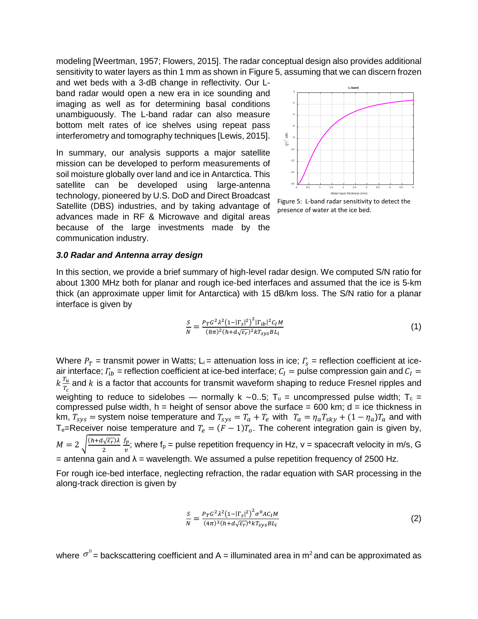modeling [Weertman, 1957; Flowers, 2015]. The radar conceptual design also provides additional sensitivity to water layers as thin 1 mm as shown in Figure 5, assuming that we can discern frozen

and wet beds with a 3-dB change in reflectivity. Our Lband radar would open a new era in ice sounding and imaging as well as for determining basal conditions unambiguously. The L-band radar can also measure bottom melt rates of ice shelves using repeat pass interferometry and tomography techniques [Lewis, 2015].

In summary, our analysis supports a major satellite mission can be developed to perform measurements of soil moisture globally over land and ice in Antarctica. This satellite can be developed using large-antenna technology, pioneered by U.S. DoD and Direct Broadcast Satellite (DBS) industries, and by taking advantage of advances made in RF & Microwave and digital areas because of the large investments made by the communication industry.



presence of water at the ice bed.

### *3.0 Radar and Antenna array design*

In this section, we provide a brief summary of high-level radar design. We computed S/N ratio for about 1300 MHz both for planar and rough ice-bed interfaces and assumed that the ice is 5-km thick (an approximate upper limit for Antarctica) with 15 dB/km loss. The S/N ratio for a planar interface is given by

$$
\frac{S}{N} = \frac{P_T G^2 \lambda^2 (1 - |\Gamma_S|^2)^2 |\Gamma_{ib}|^2 C_I M}{(8\pi)^2 (h + d\sqrt{\varepsilon_r})^2 k T_{sys} B L_i}
$$
\n(1)

Where  $P_T$  = transmit power in Watts; L<sub>i</sub> = attenuation loss in ice;  $\Gamma_s$  = reflection coefficient at iceair interface;  $\Gamma_{ib}$  = reflection coefficient at ice-bed interface;  $C_I=$  pulse compression gain and  $C_I=$  $k \frac{T_u}{T_c}$  and  $k$  is a factor that accounts for transmit waveform shaping to reduce Fresnel ripples and weighting to reduce to sidelobes — normally k ~0..5;  $T_u$  = uncompressed pulse width;  $T_c$  = compressed pulse width,  $h =$  height of sensor above the surface = 600 km;  $d =$  ice thickness in km,  $T_{sys}$  = system noise temperature and  $T_{sys} = T_a + T_e$  with  $T_a = \eta_a T_{sky} + (1 - \eta_a) T_a$  and with T<sub>e</sub>=Receiver noise temperature and  $T_e = (F - 1)T_o$ . The coherent integration gain is given by,  $M = 2 \sqrt{\frac{(h+d\sqrt{\varepsilon_r})\lambda}{2}}$  $\frac{f_p}{v}$ ; where f<sub>p</sub> = pulse repetition frequency in Hz, v = spacecraft velocity in m/s, G  $=$  antenna gain and  $\lambda =$  wavelength. We assumed a pulse repetition frequency of 2500 Hz.

For rough ice-bed interface, neglecting refraction, the radar equation with SAR processing in the along-track direction is given by

$$
\frac{S}{N} = \frac{P_T G^2 \lambda^2 (1 - |\Gamma_s|^2)^2 \sigma^0 A C_I M}{(4\pi)^3 (h + d\sqrt{\varepsilon_r})^4 k T_{sys} B L_i}
$$
\n(2)

where  $\sigma^0$  = backscattering coefficient and A = illuminated area in m<sup>2</sup> and can be approximated as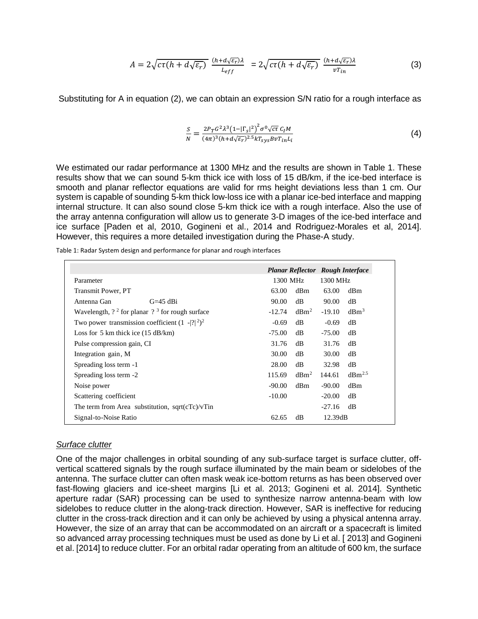$$
A = 2\sqrt{c\tau(h + d\sqrt{\varepsilon_r})} \frac{(h + d\sqrt{\varepsilon_r})\lambda}{L_{eff}} = 2\sqrt{c\tau(h + d\sqrt{\varepsilon_r})} \frac{(h + d\sqrt{\varepsilon_r})\lambda}{\nu T_{in}} \tag{3}
$$

Substituting for A in equation (2), we can obtain an expression S/N ratio for a rough interface as

$$
\frac{S}{N} = \frac{2P_T G^2 \lambda^3 \left(1 - |\Gamma_s|^2\right)^2 \sigma^0 \sqrt{c\tau} C_I M}{(4\pi)^3 (h + d\sqrt{\varepsilon_r})^{2.5} kT_{sys} B v T_{in} L_i}
$$
\n(4)

We estimated our radar performance at 1300 MHz and the results are shown in Table 1. These results show that we can sound 5-km thick ice with loss of 15 dB/km, if the ice-bed interface is smooth and planar reflector equations are valid for rms height deviations less than 1 cm. Our system is capable of sounding 5-km thick low-loss ice with a planar ice-bed interface and mapping internal structure. It can also sound close 5-km thick ice with a rough interface. Also the use of the array antenna configuration will allow us to generate 3-D images of the ice-bed interface and ice surface [Paden et al, 2010, Gogineni et al., 2014 and Rodriguez-Morales et al, 2014]. However, this requires a more detailed investigation during the Phase-A study.

Table 1: Radar System design and performance for planar and rough interfaces

|                                                      |          | <b>Planar Reflector</b> Rough Interface |          |                    |
|------------------------------------------------------|----------|-----------------------------------------|----------|--------------------|
| Parameter                                            | 1300 MHz |                                         | 1300 MHz |                    |
| Transmit Power, PT                                   | 63.00    | dBm                                     | 63.00    | dBm                |
| Antenna Gan<br>$G=45$ dBi                            | 90.00    | dB                                      | 90.00    | dB                 |
| Wavelength, $?^2$ for planar $?^3$ for rough surface | $-12.74$ | dBm <sup>2</sup>                        | $-19.10$ | dBm <sup>3</sup>   |
| Two power transmission coefficient $(1 - 2)^2$       | $-0.69$  | dB                                      | $-0.69$  | dB                 |
| Loss for 5 km thick ice $(15 \text{ dB/km})$         | $-75.00$ | dB                                      | $-75.00$ | dB                 |
| Pulse compression gain, CI                           | 31.76    | dB                                      | 31.76    | dB                 |
| Integration gain, M                                  | 30.00    | dB                                      | 30.00    | dB                 |
| Spreading loss term -1                               | 28.00    | dB                                      | 32.98    | dB                 |
| Spreading loss term -2                               | 115.69   | dBm <sup>2</sup>                        | 144.61   | dBm <sup>2.5</sup> |
| Noise power                                          | $-90.00$ | dBm                                     | $-90.00$ | dBm                |
| Scattering coefficient                               | $-10.00$ |                                         | $-20.00$ | dB                 |
| The term from Area substitution, sqrt $(cTc)/vT$ in  |          |                                         | $-27.16$ | dB                 |
| Signal-to-Noise Ratio                                | 62.65    | dB                                      | 12.39dB  |                    |

#### *Surface clutter*

One of the major challenges in orbital sounding of any sub-surface target is surface clutter, offvertical scattered signals by the rough surface illuminated by the main beam or sidelobes of the antenna. The surface clutter can often mask weak ice-bottom returns as has been observed over fast-flowing glaciers and ice-sheet margins [Li et al. 2013; Gogineni et al. 2014]. Synthetic aperture radar (SAR) processing can be used to synthesize narrow antenna-beam with low sidelobes to reduce clutter in the along-track direction. However, SAR is ineffective for reducing clutter in the cross-track direction and it can only be achieved by using a physical antenna array. However, the size of an array that can be accommodated on an aircraft or a spacecraft is limited so advanced array processing techniques must be used as done by Li et al. [ 2013] and Gogineni et al. [2014] to reduce clutter. For an orbital radar operating from an altitude of 600 km, the surface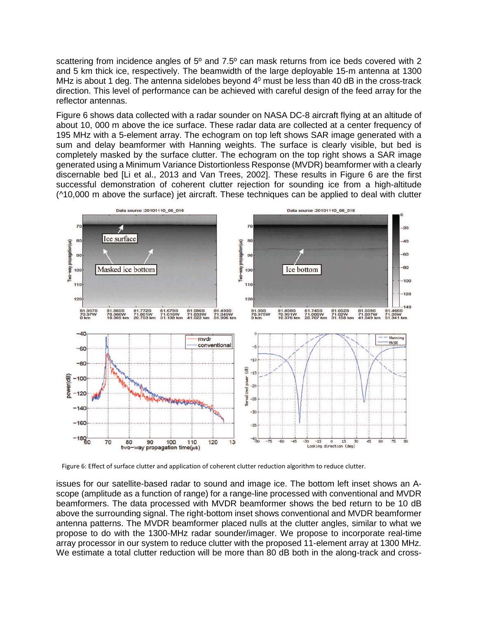scattering from incidence angles of 5° and 7.5° can mask returns from ice beds covered with 2 and 5 km thick ice, respectively. The beamwidth of the large deployable 15-m antenna at 1300 MHz is about 1 deg. The antenna sidelobes beyond  $4^0$  must be less than 40 dB in the cross-track direction. This level of performance can be achieved with careful design of the feed array for the reflector antennas.

Figure 6 shows data collected with a radar sounder on NASA DC-8 aircraft flying at an altitude of about 10, 000 m above the ice surface. These radar data are collected at a center frequency of 195 MHz with a 5-element array. The echogram on top left shows SAR image generated with a sum and delay beamformer with Hanning weights. The surface is clearly visible, but bed is completely masked by the surface clutter. The echogram on the top right shows a SAR image generated using a Minimum Variance Distortionless Response (MVDR) beamformer with a clearly discernable bed [Li et al., 2013 and Van Trees, 2002]. These results in Figure 6 are the first successful demonstration of coherent clutter rejection for sounding ice from a high-altitude (^10,000 m above the surface) jet aircraft. These techniques can be applied to deal with clutter



Figure 6: Effect of surface clutter and application of coherent clutter reduction algorithm to reduce clutter.

issues for our satellite-based radar to sound and image ice. The bottom left inset shows an Ascope (amplitude as a function of range) for a range-line processed with conventional and MVDR beamformers. The data processed with MVDR beamformer shows the bed return to be 10 dB above the surrounding signal. The right-bottom inset shows conventional and MVDR beamformer antenna patterns. The MVDR beamformer placed nulls at the clutter angles, similar to what we propose to do with the 1300-MHz radar sounder/imager. We propose to incorporate real-time array processor in our system to reduce clutter with the proposed 11-element array at 1300 MHz. We estimate a total clutter reduction will be more than 80 dB both in the along-track and cross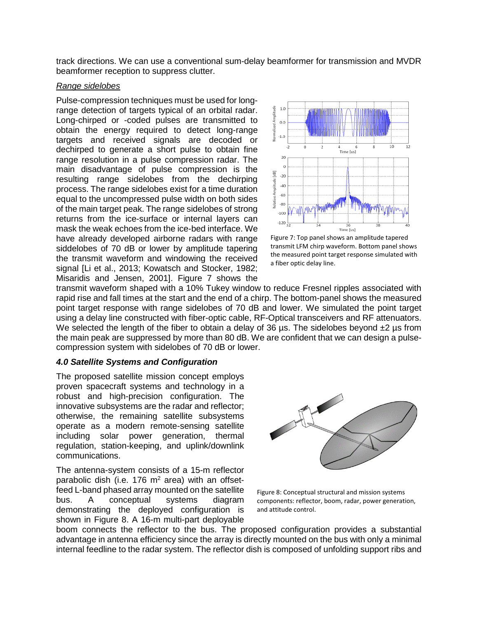track directions. We can use a conventional sum-delay beamformer for transmission and MVDR beamformer reception to suppress clutter.

## *Range sidelobes*

Pulse-compression techniques must be used for longrange detection of targets typical of an orbital radar. Long-chirped or -coded pulses are transmitted to obtain the energy required to detect long-range targets and received signals are decoded or dechirped to generate a short pulse to obtain fine range resolution in a pulse compression radar. The main disadvantage of pulse compression is the resulting range sidelobes from the dechirping process. The range sidelobes exist for a time duration equal to the uncompressed pulse width on both sides of the main target peak. The range sidelobes of strong returns from the ice-surface or internal layers can mask the weak echoes from the ice-bed interface. We have already developed airborne radars with range siddelobes of 70 dB or lower by amplitude tapering the transmit waveform and windowing the received signal [Li et al., 2013; Kowatsch and Stocker, 1982; Misaridis and Jensen, 2001]. Figure 7 shows the



Figure 7: Top panel shows an amplitude tapered transmit LFM chirp waveform. Bottom panel shows the measured point target response simulated with a fiber optic delay line.

transmit waveform shaped with a 10% Tukey window to reduce Fresnel ripples associated with rapid rise and fall times at the start and the end of a chirp. The bottom-panel shows the measured point target response with range sidelobes of 70 dB and lower. We simulated the point target using a delay line constructed with fiber-optic cable, RF-Optical transceivers and RF attenuators. We selected the length of the fiber to obtain a delay of 36 us. The sidelobes beyond  $\pm 2$  us from the main peak are suppressed by more than 80 dB. We are confident that we can design a pulsecompression system with sidelobes of 70 dB or lower.

## *4.0 Satellite Systems and Configuration*

The proposed satellite mission concept employs proven spacecraft systems and technology in a robust and high-precision configuration. The innovative subsystems are the radar and reflector; otherwise, the remaining satellite subsystems operate as a modern remote-sensing satellite including solar power generation, thermal regulation, station-keeping, and uplink/downlink communications.

The antenna-system consists of a 15-m reflector parabolic dish (i.e.  $176 \text{ m}^2$  area) with an offsetfeed L-band phased array mounted on the satellite bus. A conceptual systems diagram demonstrating the deployed configuration is shown in Figure 8. A 16-m multi-part deployable



Figure 8: Conceptual structural and mission systems components: reflector, boom, radar, power generation, and attitude control.

boom connects the reflector to the bus. The proposed configuration provides a substantial advantage in antenna efficiency since the array is directly mounted on the bus with only a minimal internal feedline to the radar system. The reflector dish is composed of unfolding support ribs and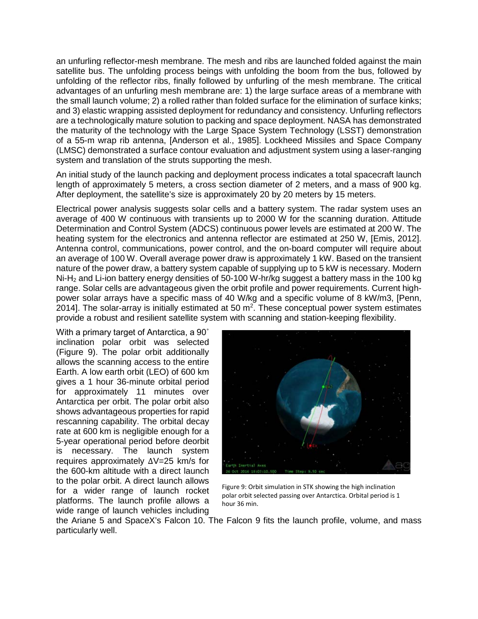an unfurling reflector-mesh membrane. The mesh and ribs are launched folded against the main satellite bus. The unfolding process beings with unfolding the boom from the bus, followed by unfolding of the reflector ribs, finally followed by unfurling of the mesh membrane. The critical advantages of an unfurling mesh membrane are: 1) the large surface areas of a membrane with the small launch volume; 2) a rolled rather than folded surface for the elimination of surface kinks; and 3) elastic wrapping assisted deployment for redundancy and consistency. Unfurling reflectors are a technologically mature solution to packing and space deployment. NASA has demonstrated the maturity of the technology with the Large Space System Technology (LSST) demonstration of a 55-m wrap rib antenna, [Anderson et al., 1985]. Lockheed Missiles and Space Company (LMSC) demonstrated a surface contour evaluation and adjustment system using a laser-ranging system and translation of the struts supporting the mesh.

An initial study of the launch packing and deployment process indicates a total spacecraft launch length of approximately 5 meters, a cross section diameter of 2 meters, and a mass of 900 kg. After deployment, the satellite's size is approximately 20 by 20 meters by 15 meters.

Electrical power analysis suggests solar cells and a battery system. The radar system uses an average of 400 W continuous with transients up to 2000 W for the scanning duration. Attitude Determination and Control System (ADCS) continuous power levels are estimated at 200 W. The heating system for the electronics and antenna reflector are estimated at 250 W, [Emis, 2012]. Antenna control, communications, power control, and the on-board computer will require about an average of 100 W. Overall average power draw is approximately 1 kW. Based on the transient nature of the power draw, a battery system capable of supplying up to 5 kW is necessary. Modern  $Ni-H<sub>2</sub>$  and Li-ion battery energy densities of 50-100 W-hr/kg suggest a battery mass in the 100 kg range. Solar cells are advantageous given the orbit profile and power requirements. Current highpower solar arrays have a specific mass of 40 W/kg and a specific volume of 8 kW/m3, [Penn, 2014]. The solar-array is initially estimated at 50  $m^2$ . These conceptual power system estimates provide a robust and resilient satellite system with scanning and station-keeping flexibility.

With a primary target of Antarctica, a 90˚ inclination polar orbit was selected (Figure 9). The polar orbit additionally allows the scanning access to the entire Earth. A low earth orbit (LEO) of 600 km gives a 1 hour 36-minute orbital period for approximately 11 minutes over Antarctica per orbit. The polar orbit also shows advantageous properties for rapid rescanning capability. The orbital decay rate at 600 km is negligible enough for a 5-year operational period before deorbit is necessary. The launch system requires approximately ΔV=25 km/s for the 600-km altitude with a direct launch to the polar orbit. A direct launch allows for a wider range of launch rocket platforms. The launch profile allows a wide range of launch vehicles including



Figure 9: Orbit simulation in STK showing the high inclination polar orbit selected passing over Antarctica. Orbital period is 1 hour 36 min.

the Ariane 5 and SpaceX's Falcon 10. The Falcon 9 fits the launch profile, volume, and mass particularly well.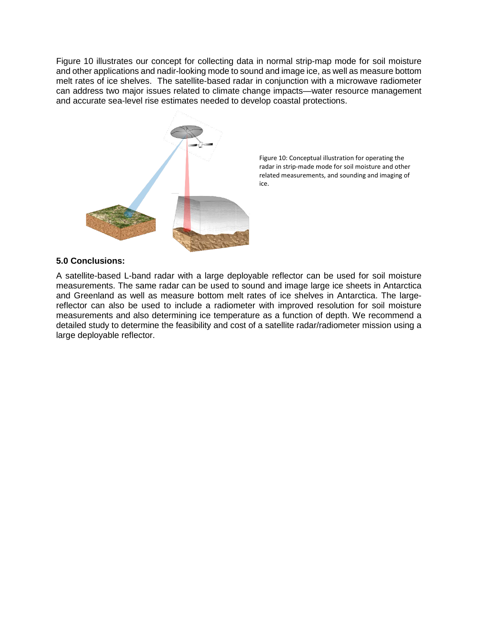Figure 10 illustrates our concept for collecting data in normal strip-map mode for soil moisture and other applications and nadir-looking mode to sound and image ice, as well as measure bottom melt rates of ice shelves. The satellite-based radar in conjunction with a microwave radiometer can address two major issues related to climate change impacts—water resource management and accurate sea-level rise estimates needed to develop coastal protections.



Figure 10: Conceptual illustration for operating the radar in strip-made mode for soil moisture and other related measurements, and sounding and imaging of ice.

# **5.0 Conclusions:**

A satellite-based L-band radar with a large deployable reflector can be used for soil moisture measurements. The same radar can be used to sound and image large ice sheets in Antarctica and Greenland as well as measure bottom melt rates of ice shelves in Antarctica. The largereflector can also be used to include a radiometer with improved resolution for soil moisture measurements and also determining ice temperature as a function of depth. We recommend a detailed study to determine the feasibility and cost of a satellite radar/radiometer mission using a large deployable reflector.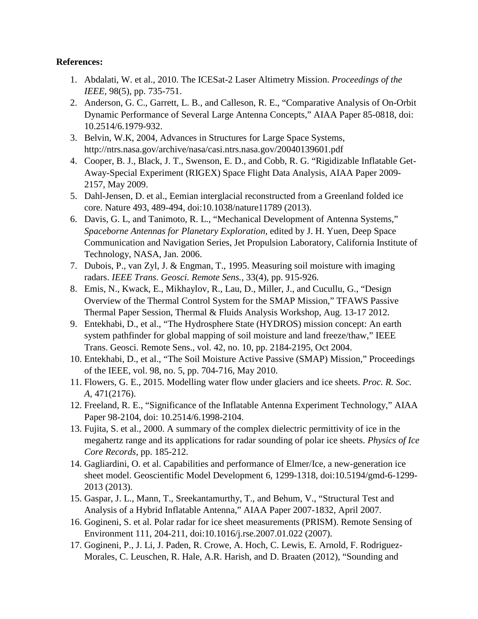# **References:**

- 1. Abdalati, W. et al., 2010. The ICESat-2 Laser Altimetry Mission. *Proceedings of the IEEE,* 98(5), pp. 735-751.
- 2. Anderson, G. C., Garrett, L. B., and Calleson, R. E., "Comparative Analysis of On-Orbit Dynamic Performance of Several Large Antenna Concepts," AIAA Paper 85-0818, doi: 10.2514/6.1979-932.
- 3. Belvin, W.K, 2004, Advances in Structures for Large Space Systems, http://ntrs.nasa.gov/archive/nasa/casi.ntrs.nasa.gov/20040139601.pdf
- 4. Cooper, B. J., Black, J. T., Swenson, E. D., and Cobb, R. G. "Rigidizable Inflatable Get-Away-Special Experiment (RIGEX) Space Flight Data Analysis, AIAA Paper 2009- 2157, May 2009.
- 5. Dahl-Jensen, D. et al., Eemian interglacial reconstructed from a Greenland folded ice core. Nature 493, 489-494, doi:10.1038/nature11789 (2013).
- 6. Davis, G. L, and Tanimoto, R. L., "Mechanical Development of Antenna Systems," *Spaceborne Antennas for Planetary Exploration,* edited by J. H. Yuen, Deep Space Communication and Navigation Series, Jet Propulsion Laboratory, California Institute of Technology, NASA, Jan. 2006.
- 7. Dubois, P., van Zyl, J. & Engman, T., 1995. Measuring soil moisture with imaging radars. *IEEE Trans. Geosci. Remote Sens.,* 33(4), pp. 915-926.
- 8. Emis, N., Kwack, E., Mikhaylov, R., Lau, D., Miller, J., and Cucullu, G., "Design Overview of the Thermal Control System for the SMAP Mission," TFAWS Passive Thermal Paper Session, Thermal & Fluids Analysis Workshop, Aug. 13-17 2012.
- 9. Entekhabi, D., et al., "The Hydrosphere State (HYDROS) mission concept: An earth system pathfinder for global mapping of soil moisture and land freeze/thaw," IEEE Trans. Geosci. Remote Sens., vol. 42, no. 10, pp. 2184-2195, Oct 2004.
- 10. Entekhabi, D., et al., "The Soil Moisture Active Passive (SMAP) Mission," Proceedings of the IEEE, vol. 98, no. 5, pp. 704-716, May 2010.
- 11. Flowers, G. E., 2015. Modelling water flow under glaciers and ice sheets. *Proc. R. Soc. A,* 471(2176).
- 12. Freeland, R. E., "Significance of the Inflatable Antenna Experiment Technology," AIAA Paper 98-2104, doi: 10.2514/6.1998-2104.
- 13. Fujita, S. et al., 2000. A summary of the complex dielectric permittivity of ice in the megahertz range and its applications for radar sounding of polar ice sheets. *Physics of Ice Core Records,* pp. 185-212.
- 14. Gagliardini, O. et al. Capabilities and performance of Elmer/Ice, a new-generation ice sheet model. Geoscientific Model Development 6, 1299-1318, doi:10.5194/gmd-6-1299- 2013 (2013).
- 15. Gaspar, J. L., Mann, T., Sreekantamurthy, T., and Behum, V., "Structural Test and Analysis of a Hybrid Inflatable Antenna," AIAA Paper 2007-1832, April 2007.
- 16. Gogineni, S. et al. Polar radar for ice sheet measurements (PRISM). Remote Sensing of Environment 111, 204-211, doi:10.1016/j.rse.2007.01.022 (2007).
- 17. Gogineni, P., J. Li, J. Paden, R. Crowe, A. Hoch, C. Lewis, E. Arnold, F. Rodriguez-Morales, C. Leuschen, R. Hale, A.R. Harish, and D. Braaten (2012), "Sounding and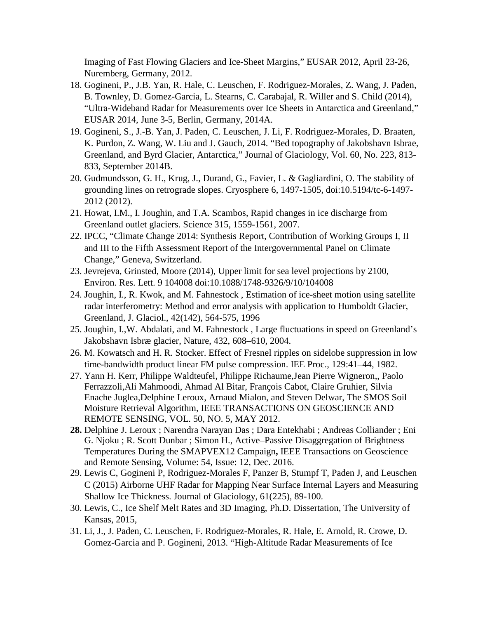Imaging of Fast Flowing Glaciers and Ice-Sheet Margins," EUSAR 2012, April 23-26, Nuremberg, Germany, 2012.

- 18. Gogineni, P., J.B. Yan, R. Hale, C. Leuschen, F. Rodriguez-Morales, Z. Wang, J. Paden, B. Townley, D. Gomez-Garcia, L. Stearns, C. Carabajal, R. Willer and S. Child (2014), "Ultra-Wideband Radar for Measurements over Ice Sheets in Antarctica and Greenland," EUSAR 2014, June 3-5, Berlin, Germany, 2014A.
- 19. Gogineni, S., J.-B. Yan, J. Paden, C. Leuschen, J. Li, F. Rodriguez-Morales, D. Braaten, K. Purdon, Z. Wang, W. Liu and J. Gauch, 2014. "Bed topography of Jakobshavn Isbrae, Greenland, and Byrd Glacier, Antarctica," Journal of Glaciology, Vol. 60, No. 223, 813- 833, September 2014B.
- 20. Gudmundsson, G. H., Krug, J., Durand, G., Favier, L. & Gagliardini, O. The stability of grounding lines on retrograde slopes. Cryosphere 6, 1497-1505, doi:10.5194/tc-6-1497- 2012 (2012).
- 21. Howat, I.M., I. Joughin, and T.A. Scambos, Rapid changes in ice discharge from Greenland outlet glaciers. Science 315, 1559-1561, 2007.
- 22. IPCC, "Climate Change 2014: Synthesis Report, Contribution of Working Groups I, II and III to the Fifth Assessment Report of the Intergovernmental Panel on Climate Change," Geneva, Switzerland.
- 23. Jevrejeva, Grinsted, Moore (2014), Upper limit for sea level projections by 2100, Environ. Res. Lett. 9 104008 doi:10.1088/1748-9326/9/10/104008
- 24. Joughin, I., R. Kwok, and M. Fahnestock , Estimation of ice-sheet motion using satellite radar interferometry: Method and error analysis with application to Humboldt Glacier, Greenland, J. Glaciol., 42(142), 564-575, 1996
- 25. Joughin, I.,W. Abdalati, and M. Fahnestock , Large fluctuations in speed on Greenland's Jakobshavn Isbræ glacier, Nature, 432, 608–610, 2004.
- 26. M. Kowatsch and H. R. Stocker. Effect of Fresnel ripples on sidelobe suppression in low time-bandwidth product linear FM pulse compression. IEE Proc., 129:41–44, 1982.
- 27. Yann H. Kerr, Philippe Waldteufel, Philippe Richaume,Jean Pierre Wigneron,, Paolo Ferrazzoli,Ali Mahmoodi, Ahmad Al Bitar, François Cabot, Claire Gruhier, Silvia Enache Juglea,Delphine Leroux, Arnaud Mialon, and Steven Delwar, The SMOS Soil Moisture Retrieval Algorithm, IEEE TRANSACTIONS ON GEOSCIENCE AND REMOTE SENSING, VOL. 50, NO. 5, MAY 2012.
- **28.** [Delphine J. Leroux ;](http://ieeexplore.ieee.org/search/searchresult.jsp?searchWithin=%22Authors%22:.QT.Delphine%20J.%20Leroux.QT.&newsearch=true) [Narendra Narayan Das ;](http://ieeexplore.ieee.org/search/searchresult.jsp?searchWithin=%22Authors%22:.QT.Narendra%20Narayan%20Das.QT.&newsearch=true) [Dara Entekhabi ;](http://ieeexplore.ieee.org/search/searchresult.jsp?searchWithin=%22Authors%22:.QT.Dara%20Entekhabi.QT.&newsearch=true) [Andreas Colliander](http://ieeexplore.ieee.org/search/searchresult.jsp?searchWithin=%22Authors%22:.QT.Andreas%20Colliander.QT.&newsearch=true) ; [Eni](http://ieeexplore.ieee.org/search/searchresult.jsp?searchWithin=%22Authors%22:.QT.Eni%20G.%20Njoku.QT.&newsearch=true)  [G. Njoku ;](http://ieeexplore.ieee.org/search/searchresult.jsp?searchWithin=%22Authors%22:.QT.Eni%20G.%20Njoku.QT.&newsearch=true) [R. Scott Dunbar ;](http://ieeexplore.ieee.org/search/searchresult.jsp?searchWithin=%22Authors%22:.QT.R.%20Scott%20Dunbar.QT.&newsearch=true) [Simon H.,](http://ieeexplore.ieee.org/search/searchresult.jsp?searchWithin=%22Authors%22:.QT.Simon%20H.%20Yueh.QT.&newsearch=true) Active–Passive Disaggregation of Brightness Temperatures During the SMAPVEX12 Campaign**,** [IEEE Transactions on Geoscience](http://ieeexplore.ieee.org/xpl/RecentIssue.jsp?punumber=36)  [and Remote Sensing,](http://ieeexplore.ieee.org/xpl/RecentIssue.jsp?punumber=36) Volume: 54, [Issue: 12,](http://ieeexplore.ieee.org/xpl/tocresult.jsp?isnumber=7580581) Dec. 2016.
- 29. Lewis C, Gogineni P, Rodriguez-Morales F, Panzer B, Stumpf T, Paden J, and Leuschen C (2015) Airborne UHF Radar for Mapping Near Surface Internal Layers and Measuring Shallow Ice Thickness. Journal of Glaciology, 61(225), 89-100.
- 30. Lewis, C., Ice Shelf Melt Rates and 3D Imaging, Ph.D. Dissertation, The University of Kansas, 2015,
- 31. Li, J., J. Paden, C. Leuschen, F. Rodriguez-Morales, R. Hale, E. Arnold, R. Crowe, D. Gomez-Garcia and P. Gogineni, 2013. "High-Altitude Radar Measurements of Ice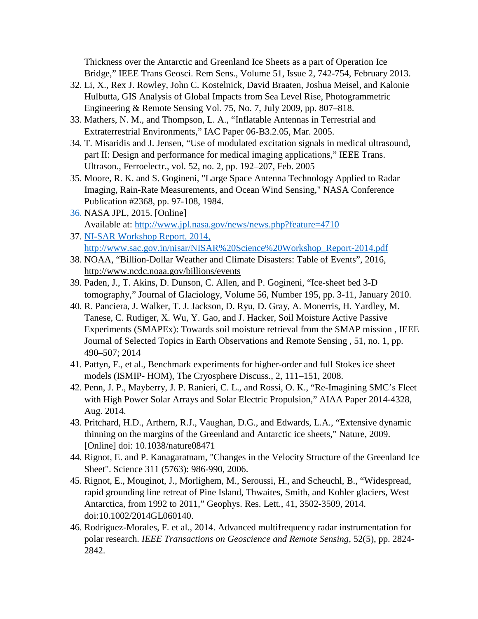Thickness over the Antarctic and Greenland Ice Sheets as a part of Operation Ice Bridge," IEEE Trans Geosci. Rem Sens., Volume 51, Issue 2, 742-754, February 2013.

- 32. Li, X., Rex J. Rowley, John C. Kostelnick, David Braaten, Joshua Meisel, and Kalonie Hulbutta, GIS Analysis of Global Impacts from Sea Level Rise, Photogrammetric Engineering & Remote Sensing Vol. 75, No. 7, July 2009, pp. 807–818.
- 33. Mathers, N. M., and Thompson, L. A., "Inflatable Antennas in Terrestrial and Extraterrestrial Environments," IAC Paper 06-B3.2.05, Mar. 2005.
- 34. T. Misaridis and J. Jensen, "Use of modulated excitation signals in medical ultrasound, part II: Design and performance for medical imaging applications," IEEE Trans. Ultrason., Ferroelectr., vol. 52, no. 2, pp. 192–207, Feb. 2005
- 35. Moore, R. K. and S. Gogineni, "Large Space Antenna Technology Applied to Radar Imaging, Rain-Rate Measurements, and Ocean Wind Sensing," NASA Conference Publication #2368, pp. 97-108, 1984.
- 36. NASA JPL, 2015. [Online] Available at:<http://www.jpl.nasa.gov/news/news.php?feature=4710>
- 37. NI-SAR Workshop Report, 2014, [http://www.sac.gov.in/nisar/NISAR%20Science%20Workshop\\_Report-2014.pdf](http://www.sac.gov.in/nisar/NISAR%20Science%20Workshop_Report-2014.pdf)
- 38. NOAA, "Billion-Dollar Weather and Climate Disasters: Table of Events", 2016, http://www.ncdc.noaa.gov/billions/events
- 39. Paden, J., T. Akins, D. Dunson, C. Allen, and P. Gogineni, "Ice-sheet bed 3-D tomography," Journal of Glaciology, Volume 56, Number 195, pp. 3-11, January 2010.
- 40. R. Panciera, J. Walker, T. J. Jackson, D. Ryu, D. Gray, A. Monerris, H. Yardley, M. Tanese, C. Rudiger, X. Wu, Y. Gao, and J. Hacker, Soil Moisture Active Passive Experiments (SMAPEx): Towards soil moisture retrieval from the SMAP mission , IEEE Journal of Selected Topics in Earth Observations and Remote Sensing , 51, no. 1, pp. 490–507; 2014
- 41. Pattyn, F., et al., Benchmark experiments for higher-order and full Stokes ice sheet models (ISMIP- HOM), The Cryosphere Discuss., 2, 111–151, 2008.
- 42. Penn, J. P., Mayberry, J. P. Ranieri, C. L., and Rossi, O. K., "Re-Imagining SMC's Fleet with High Power Solar Arrays and Solar Electric Propulsion," AIAA Paper 2014-4328, Aug. 2014.
- 43. Pritchard, H.D., Arthern, R.J., Vaughan, D.G., and Edwards, L.A., "Extensive dynamic thinning on the margins of the Greenland and Antarctic ice sheets," Nature, 2009. [Online] doi: 10.1038/nature08471
- 44. Rignot, E. and P. Kanagaratnam, "Changes in the Velocity Structure of the Greenland Ice Sheet". Science 311 (5763): 986-990, 2006.
- 45. Rignot, E., Mouginot, J., Morlighem, M., Seroussi, H., and Scheuchl, B., "Widespread, rapid grounding line retreat of Pine Island, Thwaites, Smith, and Kohler glaciers, West Antarctica, from 1992 to 2011," Geophys. Res. Lett., 41, 3502-3509, 2014. doi:10.1002/2014GL060140.
- 46. Rodriguez-Morales, F. et al., 2014. Advanced multifrequency radar instrumentation for polar research. *IEEE Transactions on Geoscience and Remote Sensing,* 52(5), pp. 2824- 2842.